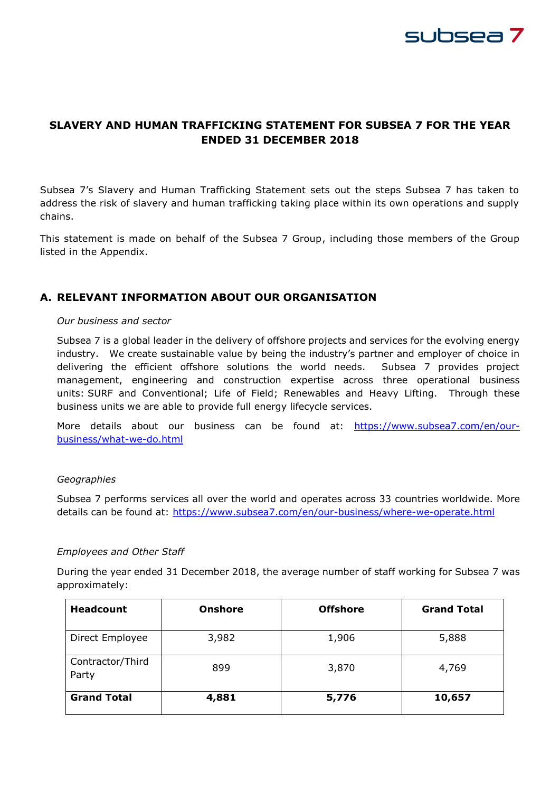

## **SLAVERY AND HUMAN TRAFFICKING STATEMENT FOR SUBSEA 7 FOR THE YEAR ENDED 31 DECEMBER 2018**

Subsea 7's Slavery and Human Trafficking Statement sets out the steps Subsea 7 has taken to address the risk of slavery and human trafficking taking place within its own operations and supply chains.

This statement is made on behalf of the Subsea 7 Group, including those members of the Group listed in the Appendix.

### **A. RELEVANT INFORMATION ABOUT OUR ORGANISATION**

#### *Our business and sector*

Subsea 7 is a global leader in the delivery of offshore projects and services for the evolving energy industry. We create sustainable value by being the industry's partner and employer of choice in delivering the efficient offshore solutions the world needs. Subsea 7 provides project management, engineering and construction expertise across three operational business units: SURF and Conventional; Life of Field; Renewables and Heavy Lifting. Through these business units we are able to provide full energy lifecycle services.

More details about our business can be found at: [https://www.subsea7.com/en/our](https://www.subsea7.com/en/our-business/what-we-do.html)[business/what-we-do.html](https://www.subsea7.com/en/our-business/what-we-do.html)

#### *Geographies*

Subsea 7 performs services all over the world and operates across 33 countries worldwide. More details can be found at: <https://www.subsea7.com/en/our-business/where-we-operate.html>

#### *Employees and Other Staff*

During the year ended 31 December 2018, the average number of staff working for Subsea 7 was approximately:

| <b>Headcount</b>          | <b>Onshore</b> | <b>Offshore</b> | <b>Grand Total</b> |
|---------------------------|----------------|-----------------|--------------------|
| Direct Employee           | 3,982          | 1,906           | 5,888              |
| Contractor/Third<br>Party | 899            | 3,870           | 4,769              |
| <b>Grand Total</b>        | 4,881          | 5,776           | 10,657             |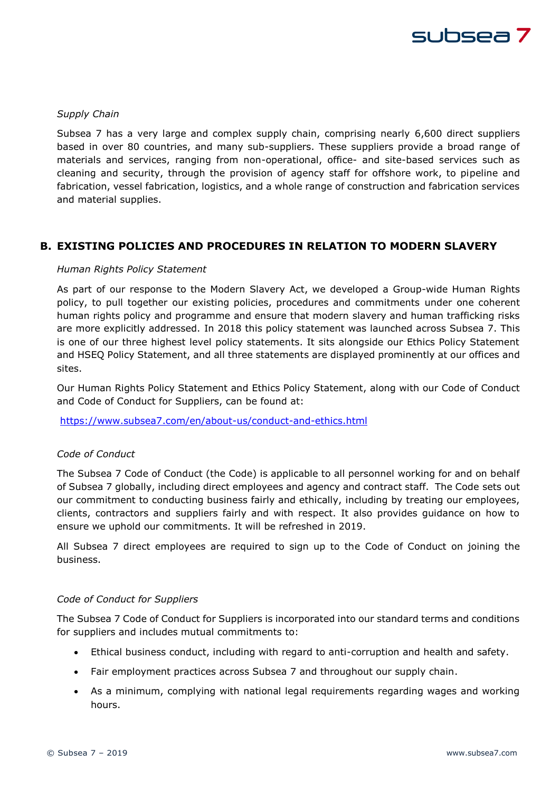

#### *Supply Chain*

Subsea 7 has a very large and complex supply chain, comprising nearly 6,600 direct suppliers based in over 80 countries, and many sub-suppliers. These suppliers provide a broad range of materials and services, ranging from non-operational, office- and site-based services such as cleaning and security, through the provision of agency staff for offshore work, to pipeline and fabrication, vessel fabrication, logistics, and a whole range of construction and fabrication services and material supplies.

### **B. EXISTING POLICIES AND PROCEDURES IN RELATION TO MODERN SLAVERY**

#### *Human Rights Policy Statement*

As part of our response to the Modern Slavery Act, we developed a Group-wide Human Rights policy, to pull together our existing policies, procedures and commitments under one coherent human rights policy and programme and ensure that modern slavery and human trafficking risks are more explicitly addressed. In 2018 this policy statement was launched across Subsea 7. This is one of our three highest level policy statements. It sits alongside our Ethics Policy Statement and HSEQ Policy Statement, and all three statements are displayed prominently at our offices and sites.

Our Human Rights Policy Statement and Ethics Policy Statement, along with our Code of Conduct and Code of Conduct for Suppliers, can be found at:

<https://www.subsea7.com/en/about-us/conduct-and-ethics.html>

#### *Code of Conduct*

The Subsea 7 Code of Conduct (the Code) is applicable to all personnel working for and on behalf of Subsea 7 globally, including direct employees and agency and contract staff. The Code sets out our commitment to conducting business fairly and ethically, including by treating our employees, clients, contractors and suppliers fairly and with respect. It also provides guidance on how to ensure we uphold our commitments. It will be refreshed in 2019.

All Subsea 7 direct employees are required to sign up to the Code of Conduct on joining the business.

#### *Code of Conduct for Suppliers*

The Subsea 7 Code of Conduct for Suppliers is incorporated into our standard terms and conditions for suppliers and includes mutual commitments to:

- Ethical business conduct, including with regard to anti-corruption and health and safety.
- Fair employment practices across Subsea 7 and throughout our supply chain.
- As a minimum, complying with national legal requirements regarding wages and working hours.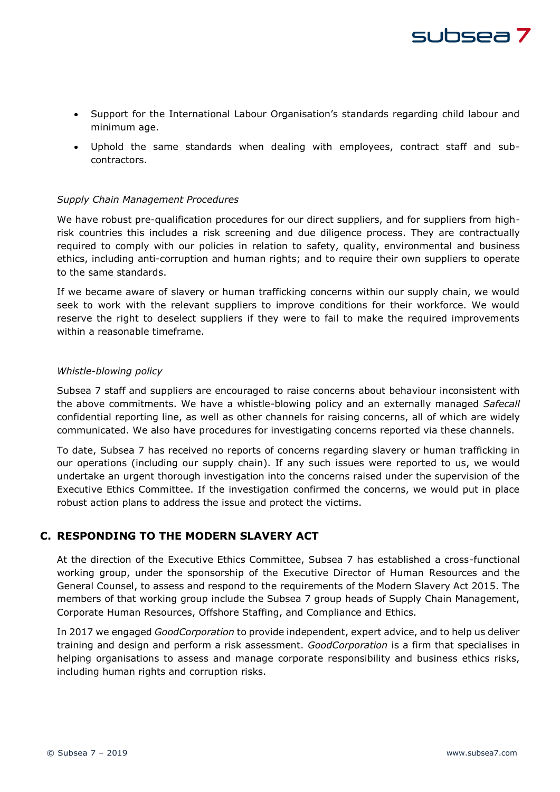

- Support for the International Labour Organisation's standards regarding child labour and minimum age.
- Uphold the same standards when dealing with employees, contract staff and subcontractors.

#### *Supply Chain Management Procedures*

We have robust pre-qualification procedures for our direct suppliers, and for suppliers from highrisk countries this includes a risk screening and due diligence process. They are contractually required to comply with our policies in relation to safety, quality, environmental and business ethics, including anti-corruption and human rights; and to require their own suppliers to operate to the same standards.

If we became aware of slavery or human trafficking concerns within our supply chain, we would seek to work with the relevant suppliers to improve conditions for their workforce. We would reserve the right to deselect suppliers if they were to fail to make the required improvements within a reasonable timeframe.

#### *Whistle-blowing policy*

Subsea 7 staff and suppliers are encouraged to raise concerns about behaviour inconsistent with the above commitments. We have a whistle-blowing policy and an externally managed *Safecall* confidential reporting line, as well as other channels for raising concerns, all of which are widely communicated. We also have procedures for investigating concerns reported via these channels.

To date, Subsea 7 has received no reports of concerns regarding slavery or human trafficking in our operations (including our supply chain). If any such issues were reported to us, we would undertake an urgent thorough investigation into the concerns raised under the supervision of the Executive Ethics Committee. If the investigation confirmed the concerns, we would put in place robust action plans to address the issue and protect the victims.

## **C. RESPONDING TO THE MODERN SLAVERY ACT**

At the direction of the Executive Ethics Committee, Subsea 7 has established a cross-functional working group, under the sponsorship of the Executive Director of Human Resources and the General Counsel, to assess and respond to the requirements of the Modern Slavery Act 2015. The members of that working group include the Subsea 7 group heads of Supply Chain Management, Corporate Human Resources, Offshore Staffing, and Compliance and Ethics.

In 2017 we engaged *GoodCorporation* to provide independent, expert advice, and to help us deliver training and design and perform a risk assessment. *GoodCorporation* is a firm that specialises in helping organisations to assess and manage corporate responsibility and business ethics risks, including human rights and corruption risks.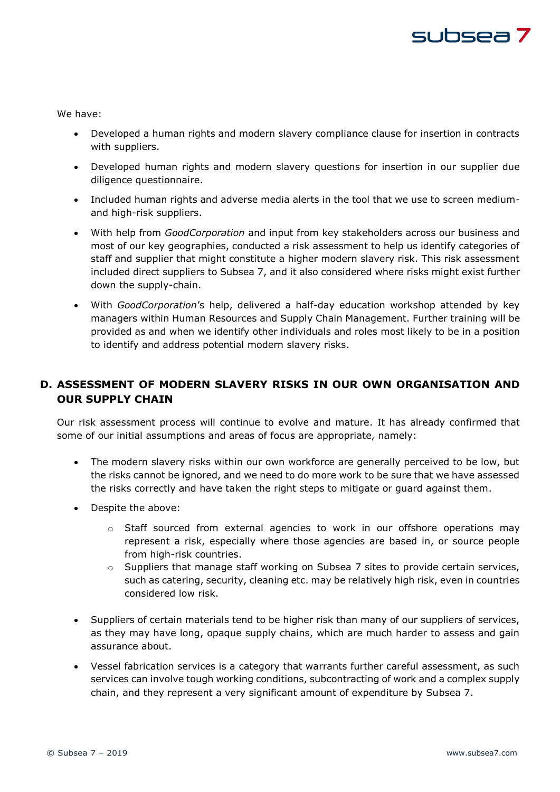# subsea 7

We have:

- Developed a human rights and modern slavery compliance clause for insertion in contracts with suppliers.
- Developed human rights and modern slavery questions for insertion in our supplier due diligence questionnaire.
- Included human rights and adverse media alerts in the tool that we use to screen mediumand high-risk suppliers.
- With help from *GoodCorporation* and input from key stakeholders across our business and most of our key geographies, conducted a risk assessment to help us identify categories of staff and supplier that might constitute a higher modern slavery risk. This risk assessment included direct suppliers to Subsea 7, and it also considered where risks might exist further down the supply-chain.
- With *GoodCorporation*'s help, delivered a half-day education workshop attended by key managers within Human Resources and Supply Chain Management. Further training will be provided as and when we identify other individuals and roles most likely to be in a position to identify and address potential modern slavery risks.

## **D. ASSESSMENT OF MODERN SLAVERY RISKS IN OUR OWN ORGANISATION AND OUR SUPPLY CHAIN**

Our risk assessment process will continue to evolve and mature. It has already confirmed that some of our initial assumptions and areas of focus are appropriate, namely:

- The modern slavery risks within our own workforce are generally perceived to be low, but the risks cannot be ignored, and we need to do more work to be sure that we have assessed the risks correctly and have taken the right steps to mitigate or guard against them.
- Despite the above:
	- $\circ$  Staff sourced from external agencies to work in our offshore operations may represent a risk, especially where those agencies are based in, or source people from high-risk countries.
	- $\circ$  Suppliers that manage staff working on Subsea 7 sites to provide certain services, such as catering, security, cleaning etc. may be relatively high risk, even in countries considered low risk.
- Suppliers of certain materials tend to be higher risk than many of our suppliers of services, as they may have long, opaque supply chains, which are much harder to assess and gain assurance about.
- Vessel fabrication services is a category that warrants further careful assessment, as such services can involve tough working conditions, subcontracting of work and a complex supply chain, and they represent a very significant amount of expenditure by Subsea 7.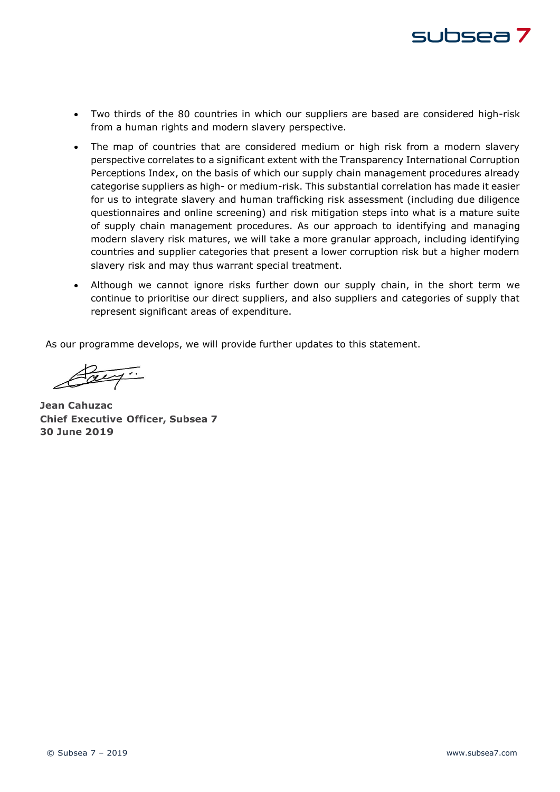

- Two thirds of the 80 countries in which our suppliers are based are considered high-risk from a human rights and modern slavery perspective.
- The map of countries that are considered medium or high risk from a modern slavery perspective correlates to a significant extent with the Transparency International Corruption Perceptions Index, on the basis of which our supply chain management procedures already categorise suppliers as high- or medium-risk. This substantial correlation has made it easier for us to integrate slavery and human trafficking risk assessment (including due diligence questionnaires and online screening) and risk mitigation steps into what is a mature suite of supply chain management procedures. As our approach to identifying and managing modern slavery risk matures, we will take a more granular approach, including identifying countries and supplier categories that present a lower corruption risk but a higher modern slavery risk and may thus warrant special treatment.
- Although we cannot ignore risks further down our supply chain, in the short term we continue to prioritise our direct suppliers, and also suppliers and categories of supply that represent significant areas of expenditure.

As our programme develops, we will provide further updates to this statement.

Pay.

**Jean Cahuzac Chief Executive Officer, Subsea 7 30 June 2019**